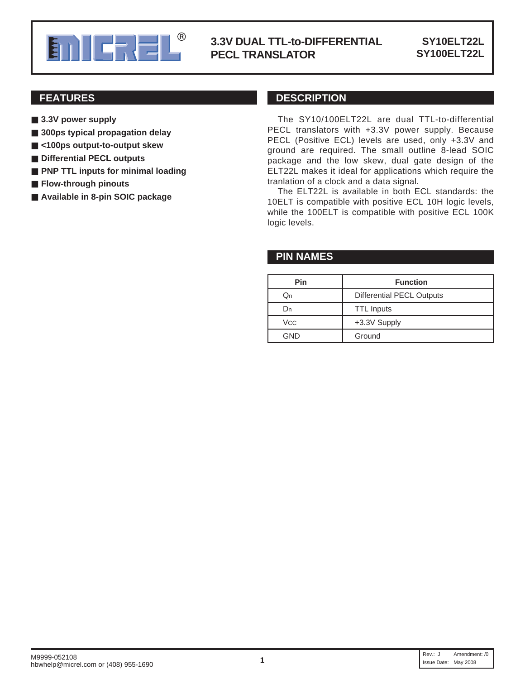

### **MICREL, INC. INC. IS STELLED, INC. And I SET OF STRIP IS STRIP IS A STRIP IS A STRIP IS A STRIP IS A STRIP IS A STRIP IS A STRIP IS A STRIP IS A STRIP IS A STRIP IS A STRIP IS A STRIP IS A STRIP IS A STRIP IS A STRIP IS A PECL TRANSLATOR**

**SY10ELT22L**

### **FEATURES**

- 3.3V power supply
- **300ps typical propagation delay**
- **<100ps output-to-output skew**
- Differential PECL outputs
- **PNP TTL inputs for minimal loading**
- **Flow-through pinouts**
- **Available in 8-pin SOIC package**

### **DESCRIPTION**

The SY10/100ELT22L are dual TTL-to-differential PECL translators with +3.3V power supply. Because PECL (Positive ECL) levels are used, only +3.3V and ground are required. The small outline 8-lead SOIC package and the low skew, dual gate design of the ELT22L makes it ideal for applications which require the tranlation of a clock and a data signal.

The ELT22L is available in both ECL standards: the 10ELT is compatible with positive ECL 10H logic levels, while the 100ELT is compatible with positive ECL 100K logic levels.

### **PIN NAMES**

| Pin | <b>Function</b>                  |
|-----|----------------------------------|
| Qn  | <b>Differential PECL Outputs</b> |
| Dn  | <b>TTL Inputs</b>                |
| Vcc | +3.3V Supply                     |
| GND | Ground                           |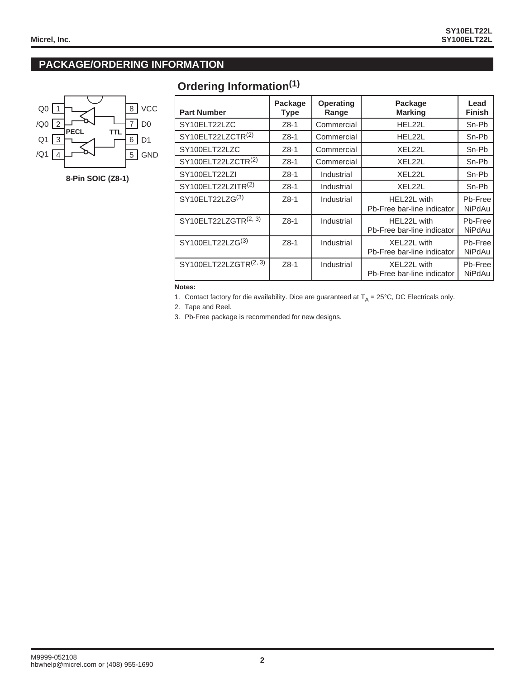### **PACKAGE/ORDERING INFORMATION**



**8-Pin SOIC (Z8-1)**

# **Ordering Information(1)**

| <b>Part Number</b>                | Package<br>Type | <b>Operating</b><br>Range | Package<br><b>Marking</b>                 | Lead<br><b>Finish</b>    |
|-----------------------------------|-----------------|---------------------------|-------------------------------------------|--------------------------|
| SY10ELT22LZC                      | Z8-1            | Commercial                | HEL22L                                    | Sn-Pb                    |
| SY10ELT22LZCTR <sup>(2)</sup>     | $Z8-1$          | Commercial                | HEL22L                                    | Sn-Pb                    |
| SY100ELT22LZC                     | $Z8-1$          | Commercial                | XEL22L                                    | Sn-Pb                    |
| SY100ELT22LZCTR <sup>(2)</sup>    | $Z8-1$          | Commercial                | XEL22L                                    | Sn-Pb                    |
| SY100ELT22LZI                     | $Z8-1$          | Industrial                | XEL22L                                    | Sn-Pb                    |
| SY100ELT22LZITR <sup>(2)</sup>    | Z8-1            | Industrial                | XEL22L                                    | Sn-Pb                    |
| SY10ELT22LZG <sup>(3)</sup>       | $Z8-1$          | Industrial                | HEL22L with<br>Pb-Free bar-line indicator | Pb-Free<br>NiPdAu        |
| SY10ELT22LZGTR <sup>(2, 3)</sup>  | $Z8-1$          | Industrial                | HFL22L with<br>Pb-Free bar-line indicator | Pb-Free<br><b>NiPdAu</b> |
| SY100ELT22LZG <sup>(3)</sup>      | $Z8-1$          | Industrial                | XEL22L with<br>Pb-Free bar-line indicator | Pb-Free<br><b>NiPdAu</b> |
| SY100ELT22LZGTR <sup>(2, 3)</sup> | $Z8-1$          | Industrial                | XEL22L with<br>Pb-Free bar-line indicator | Pb-Free<br>NiPdAu        |

#### **Notes:**

1. Contact factory for die availability. Dice are guaranteed at  $T_A = 25^{\circ}$ C, DC Electricals only.

2. Tape and Reel.

3. Pb-Free package is recommended for new designs.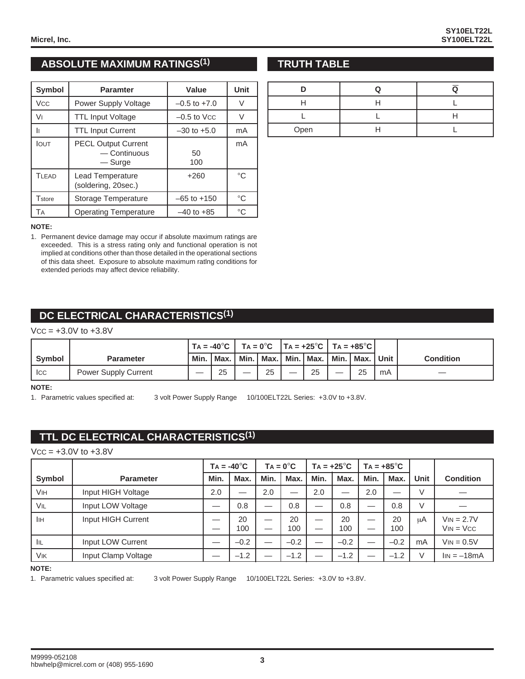### **ABSOLUTE MAXIMUM RATINGS(1)**

| <b>Symbol</b>  | <b>Paramter</b>                                       | Value            | Unit        |
|----------------|-------------------------------------------------------|------------------|-------------|
| <b>Vcc</b>     | Power Supply Voltage                                  | $-0.5$ to $+7.0$ | V           |
| V <sub>1</sub> | <b>TTL Input Voltage</b>                              | $-0.5$ to Vcc    | V           |
| I۱             | <b>TTL Input Current</b>                              | $-30$ to $+5.0$  | mA          |
| <b>IOUT</b>    | <b>PECL Output Current</b><br>- Continuous<br>— Surge | 50<br>100        | mA          |
| TLEAD          | Lead Temperature<br>(soldering, 20sec.)               | $+260$           | $^{\circ}C$ |
| Tstore         | Storage Temperature                                   | $-65$ to $+150$  | $^{\circ}C$ |
| TА             | <b>Operating Temperature</b>                          | $-40$ to $+85$   | $^{\circ}C$ |

#### **NOTE:**

1. Permanent device damage may occur if absolute maximum ratings are exceeded. This is a stress rating only and functional operation is not implied at conditions other than those detailed in the operational sections of this data sheet. Exposure to absolute maximum ratlng conditions for extended periods may affect device reliability.

### **DC ELECTRICAL CHARACTERISTICS(1)**

 $VCC = +3.0V$  to  $+3.8V$ 

|        |                             |      |        |  |    |  |    | $\mid$ TA = -40°C $\mid$ TA = 0°C $\mid$ TA = +25°C $\mid$ TA = +85°C $\mid$ |                                                |    |                  |
|--------|-----------------------------|------|--------|--|----|--|----|------------------------------------------------------------------------------|------------------------------------------------|----|------------------|
| Symbol | <b>Parameter</b>            | Min. | I Max. |  |    |  |    |                                                                              | Min.   Max.   Min.   Max.   Min.   Max.   Unit |    | <b>Condition</b> |
| l Icc  | <b>Power Supply Current</b> |      | 25     |  | 25 |  | 25 |                                                                              | 25                                             | mA |                  |

#### **NOTE:**

1. Parametric values specified at: 3 volt Power Supply Range 10/100ELT22L Series: +3.0V to +3.8V.

## **TTL DC ELECTRICAL CHARACTERISTICS(1)**

#### $VCC = +3.0V$  to  $+3.8V$

|            |                     | $TA = -40^{\circ}C$ |           | $TA = 0^{\circ}C$        |           | $TA = +25^{\circ}C$ |           | $TA = +85^{\circ}C$ |           |      |                              |
|------------|---------------------|---------------------|-----------|--------------------------|-----------|---------------------|-----------|---------------------|-----------|------|------------------------------|
| Symbol     | <b>Parameter</b>    | Min.                | Max.      | Min.                     | Max.      | Min.                | Max.      | Min.                | Max.      | Unit | <b>Condition</b>             |
| <b>VIH</b> | Input HIGH Voltage  | 2.0                 |           | 2.0                      |           | 2.0                 |           | 2.0                 |           |      |                              |
| VIL        | Input LOW Voltage   |                     | 0.8       | —                        | 0.8       |                     | 0.8       |                     | 0.8       | V    |                              |
| IІн        | Input HIGH Current  |                     | 20<br>100 | $\overline{\phantom{0}}$ | 20<br>100 | –                   | 20<br>100 |                     | 20<br>100 | uA   | $VIN = 2.7V$<br>$VIN = VCC$  |
| <b>IIL</b> | Input LOW Current   |                     | $-0.2$    |                          | $-0.2$    |                     | $-0.2$    |                     | $-0.2$    | mA   | $V_{IN} = 0.5V$              |
| <b>VIK</b> | Input Clamp Voltage |                     | $-1.2$    |                          | $-1.2$    |                     | $-1.2$    |                     | $-1.2$    |      | $\text{lin} = -18 \text{mA}$ |

#### **NOTE:**

1. Parametric values specified at: 3 volt Power Supply Range 10/100ELT22L Series: +3.0V to +3.8V.

### **TRUTH TABLE**

| Open |  |
|------|--|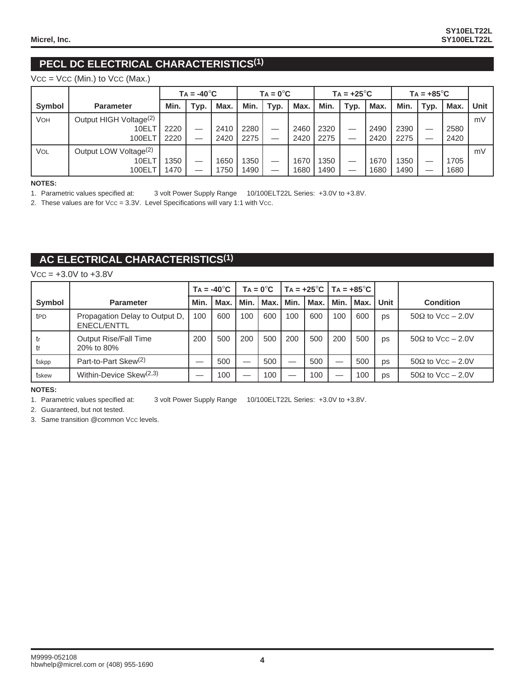### **PECL DC ELECTRICAL CHARACTERISTICS(1)**

Vcc = Vcc (Min.) to Vcc (Max.)

|        |                                    | $TA = -40^{\circ}C$ |      |      |      | $TA = 0^{\circ}C$ |      |      | $TA = +25^{\circ}C$ |      | $TA = +85^{\circ}C$ |      |      |      |
|--------|------------------------------------|---------------------|------|------|------|-------------------|------|------|---------------------|------|---------------------|------|------|------|
| Symbol | <b>Parameter</b>                   | Min.                | Typ. | Max. | Min. | Typ.              | Max. | Min. | Typ.                | Max. | Min.                | Typ. | Max. | Unit |
| VOH    | Output HIGH Voltage <sup>(2)</sup> |                     |      |      |      |                   |      |      |                     |      |                     |      |      | mV   |
|        | 10EL <sup>-</sup>                  | 2220                |      | 2410 | 2280 |                   | 2460 | 2320 |                     | 2490 | 2390                |      | 2580 |      |
|        | 100EL1                             | 2220                |      | 2420 | 2275 |                   | 2420 | 2275 |                     | 2420 | 2275                |      | 2420 |      |
| VOL    | Output LOW Voltage <sup>(2)</sup>  |                     |      |      |      |                   |      |      |                     |      |                     |      |      | mV   |
|        | 10EL                               | 1350                |      | 1650 | 350  | —                 | 1670 | 1350 |                     | 1670 | 350                 |      | 1705 |      |
|        | 100EL <sup>-</sup>                 | 1470                |      | 1750 | 1490 |                   | 1680 | 1490 |                     | 1680 | 1490                |      | 1680 |      |

#### **NOTES:**

1. Parametric values specified at: 3 volt Power Supply Range 10/100ELT22L Series: +3.0V to +3.8V.

2. These values are for  $Vec = 3.3V$ . Level Specifications will vary 1:1 with Vcc.

### **AC ELECTRICAL CHARACTERISTICS(1)**

 $VCC = +3.0V$  to  $+3.8V$ 

|                 |                                               | $TA = -40^{\circ}C$ |      | $TA = 0^{\circ}C$ |      | $T_A = +25^{\circ}\text{C}$   Ta = $+85^{\circ}\text{C}$ |      |      |      |      |                            |
|-----------------|-----------------------------------------------|---------------------|------|-------------------|------|----------------------------------------------------------|------|------|------|------|----------------------------|
| Symbol          | <b>Parameter</b>                              | Min.                | Max. | Min.              | Max. | Min.                                                     | Max. | Min. | Max. | Unit | <b>Condition</b>           |
| t <sub>PD</sub> | Propagation Delay to Output D,<br>ENECL/ENTTL | 100                 | 600  | 100               | 600  | 100                                                      | 600  | 100  | 600  | DS   | $50\Omega$ to Vcc $-2.0V$  |
| tr<br>tf        | Output Rise/Fall Time<br>20% to 80%           | 200                 | 500  | 200               | 500  | 200                                                      | 500  | 200  | 500  | DS   | $50\Omega$ to Vcc $-2.0V$  |
| tskpp           | Part-to-Part Skew <sup>(2)</sup>              |                     | 500  |                   | 500  |                                                          | 500  |      | 500  | DS   | $50\Omega$ to Vcc $-2.0V$  |
| tskew           | Within-Device Skew <sup>(2,3)</sup>           |                     | 100  |                   | 100  | —                                                        | 100  |      | 100  | DS   | $50\Omega$ to Vcc $- 2.0V$ |

#### **NOTES:**

1. Parametric values specified at: 3 volt Power Supply Range 10/100ELT22L Series: +3.0V to +3.8V.

2. Guaranteed, but not tested.

3. Same transition @common Vcc levels.